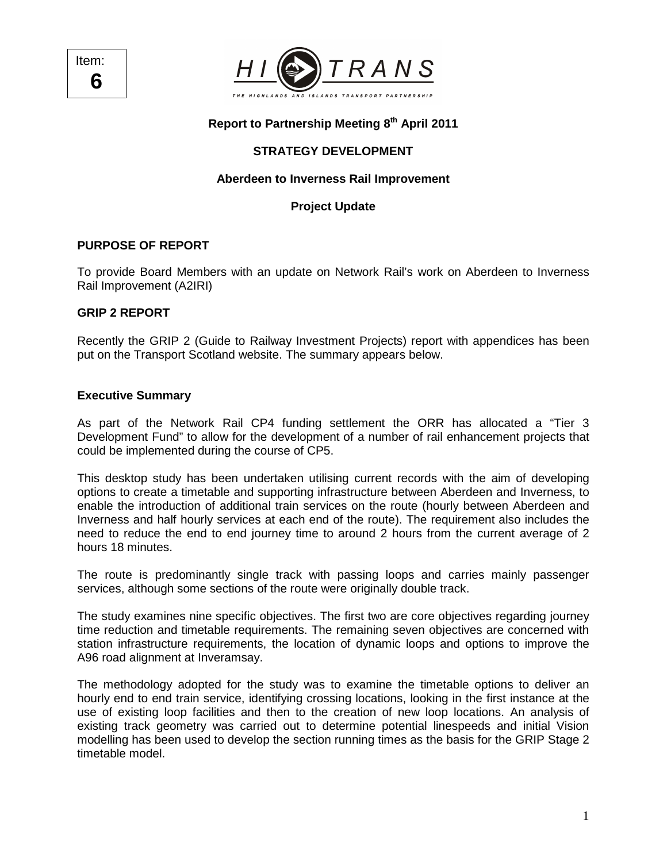



# **Report to Partnership Meeting 8th April 2011**

### **STRATEGY DEVELOPMENT**

#### **Aberdeen to Inverness Rail Improvement**

#### **Project Update**

#### **PURPOSE OF REPORT**

To provide Board Members with an update on Network Rail's work on Aberdeen to Inverness Rail Improvement (A2IRI)

#### **GRIP 2 REPORT**

Recently the GRIP 2 (Guide to Railway Investment Projects) report with appendices has been put on the Transport Scotland website. The summary appears below.

#### **Executive Summary**

As part of the Network Rail CP4 funding settlement the ORR has allocated a "Tier 3 Development Fund" to allow for the development of a number of rail enhancement projects that could be implemented during the course of CP5.

This desktop study has been undertaken utilising current records with the aim of developing options to create a timetable and supporting infrastructure between Aberdeen and Inverness, to enable the introduction of additional train services on the route (hourly between Aberdeen and Inverness and half hourly services at each end of the route). The requirement also includes the need to reduce the end to end journey time to around 2 hours from the current average of 2 hours 18 minutes.

The route is predominantly single track with passing loops and carries mainly passenger services, although some sections of the route were originally double track.

The study examines nine specific objectives. The first two are core objectives regarding journey time reduction and timetable requirements. The remaining seven objectives are concerned with station infrastructure requirements, the location of dynamic loops and options to improve the A96 road alignment at Inveramsay.

The methodology adopted for the study was to examine the timetable options to deliver an hourly end to end train service, identifying crossing locations, looking in the first instance at the use of existing loop facilities and then to the creation of new loop locations. An analysis of existing track geometry was carried out to determine potential linespeeds and initial Vision modelling has been used to develop the section running times as the basis for the GRIP Stage 2 timetable model.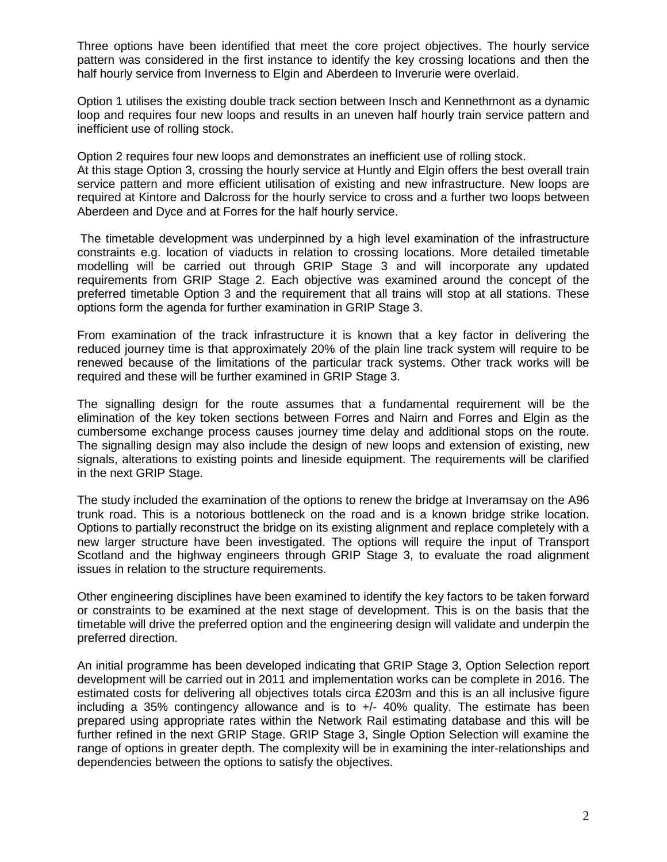Three options have been identified that meet the core project objectives. The hourly service pattern was considered in the first instance to identify the key crossing locations and then the half hourly service from Inverness to Elgin and Aberdeen to Inverurie were overlaid.

Option 1 utilises the existing double track section between Insch and Kennethmont as a dynamic loop and requires four new loops and results in an uneven half hourly train service pattern and inefficient use of rolling stock.

Option 2 requires four new loops and demonstrates an inefficient use of rolling stock. At this stage Option 3, crossing the hourly service at Huntly and Elgin offers the best overall train service pattern and more efficient utilisation of existing and new infrastructure. New loops are required at Kintore and Dalcross for the hourly service to cross and a further two loops between Aberdeen and Dyce and at Forres for the half hourly service.

 The timetable development was underpinned by a high level examination of the infrastructure constraints e.g. location of viaducts in relation to crossing locations. More detailed timetable modelling will be carried out through GRIP Stage 3 and will incorporate any updated requirements from GRIP Stage 2. Each objective was examined around the concept of the preferred timetable Option 3 and the requirement that all trains will stop at all stations. These options form the agenda for further examination in GRIP Stage 3.

From examination of the track infrastructure it is known that a key factor in delivering the reduced journey time is that approximately 20% of the plain line track system will require to be renewed because of the limitations of the particular track systems. Other track works will be required and these will be further examined in GRIP Stage 3.

The signalling design for the route assumes that a fundamental requirement will be the elimination of the key token sections between Forres and Nairn and Forres and Elgin as the cumbersome exchange process causes journey time delay and additional stops on the route. The signalling design may also include the design of new loops and extension of existing, new signals, alterations to existing points and lineside equipment. The requirements will be clarified in the next GRIP Stage.

The study included the examination of the options to renew the bridge at Inveramsay on the A96 trunk road. This is a notorious bottleneck on the road and is a known bridge strike location. Options to partially reconstruct the bridge on its existing alignment and replace completely with a new larger structure have been investigated. The options will require the input of Transport Scotland and the highway engineers through GRIP Stage 3, to evaluate the road alignment issues in relation to the structure requirements.

Other engineering disciplines have been examined to identify the key factors to be taken forward or constraints to be examined at the next stage of development. This is on the basis that the timetable will drive the preferred option and the engineering design will validate and underpin the preferred direction.

An initial programme has been developed indicating that GRIP Stage 3, Option Selection report development will be carried out in 2011 and implementation works can be complete in 2016. The estimated costs for delivering all objectives totals circa £203m and this is an all inclusive figure including a 35% contingency allowance and is to  $+/-$  40% quality. The estimate has been prepared using appropriate rates within the Network Rail estimating database and this will be further refined in the next GRIP Stage. GRIP Stage 3, Single Option Selection will examine the range of options in greater depth. The complexity will be in examining the inter-relationships and dependencies between the options to satisfy the objectives.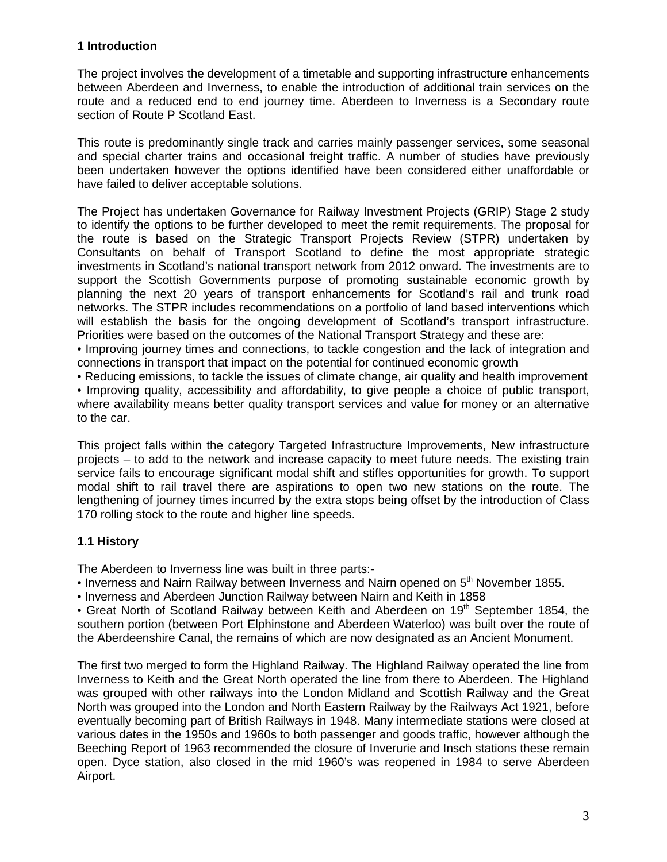### **1 Introduction**

The project involves the development of a timetable and supporting infrastructure enhancements between Aberdeen and Inverness, to enable the introduction of additional train services on the route and a reduced end to end journey time. Aberdeen to Inverness is a Secondary route section of Route P Scotland East.

This route is predominantly single track and carries mainly passenger services, some seasonal and special charter trains and occasional freight traffic. A number of studies have previously been undertaken however the options identified have been considered either unaffordable or have failed to deliver acceptable solutions.

The Project has undertaken Governance for Railway Investment Projects (GRIP) Stage 2 study to identify the options to be further developed to meet the remit requirements. The proposal for the route is based on the Strategic Transport Projects Review (STPR) undertaken by Consultants on behalf of Transport Scotland to define the most appropriate strategic investments in Scotland's national transport network from 2012 onward. The investments are to support the Scottish Governments purpose of promoting sustainable economic growth by planning the next 20 years of transport enhancements for Scotland's rail and trunk road networks. The STPR includes recommendations on a portfolio of land based interventions which will establish the basis for the ongoing development of Scotland's transport infrastructure. Priorities were based on the outcomes of the National Transport Strategy and these are:

• Improving journey times and connections, to tackle congestion and the lack of integration and connections in transport that impact on the potential for continued economic growth

• Reducing emissions, to tackle the issues of climate change, air quality and health improvement

• Improving quality, accessibility and affordability, to give people a choice of public transport, where availability means better quality transport services and value for money or an alternative to the car.

This project falls within the category Targeted Infrastructure Improvements, New infrastructure projects – to add to the network and increase capacity to meet future needs. The existing train service fails to encourage significant modal shift and stifles opportunities for growth. To support modal shift to rail travel there are aspirations to open two new stations on the route. The lengthening of journey times incurred by the extra stops being offset by the introduction of Class 170 rolling stock to the route and higher line speeds.

# **1.1 History**

The Aberdeen to Inverness line was built in three parts:-

• Inverness and Nairn Railway between Inverness and Nairn opened on 5<sup>th</sup> November 1855.

• Inverness and Aberdeen Junction Railway between Nairn and Keith in 1858

• Great North of Scotland Railway between Keith and Aberdeen on 19<sup>th</sup> September 1854, the southern portion (between Port Elphinstone and Aberdeen Waterloo) was built over the route of the Aberdeenshire Canal, the remains of which are now designated as an Ancient Monument.

The first two merged to form the Highland Railway. The Highland Railway operated the line from Inverness to Keith and the Great North operated the line from there to Aberdeen. The Highland was grouped with other railways into the London Midland and Scottish Railway and the Great North was grouped into the London and North Eastern Railway by the Railways Act 1921, before eventually becoming part of British Railways in 1948. Many intermediate stations were closed at various dates in the 1950s and 1960s to both passenger and goods traffic, however although the Beeching Report of 1963 recommended the closure of Inverurie and Insch stations these remain open. Dyce station, also closed in the mid 1960's was reopened in 1984 to serve Aberdeen Airport.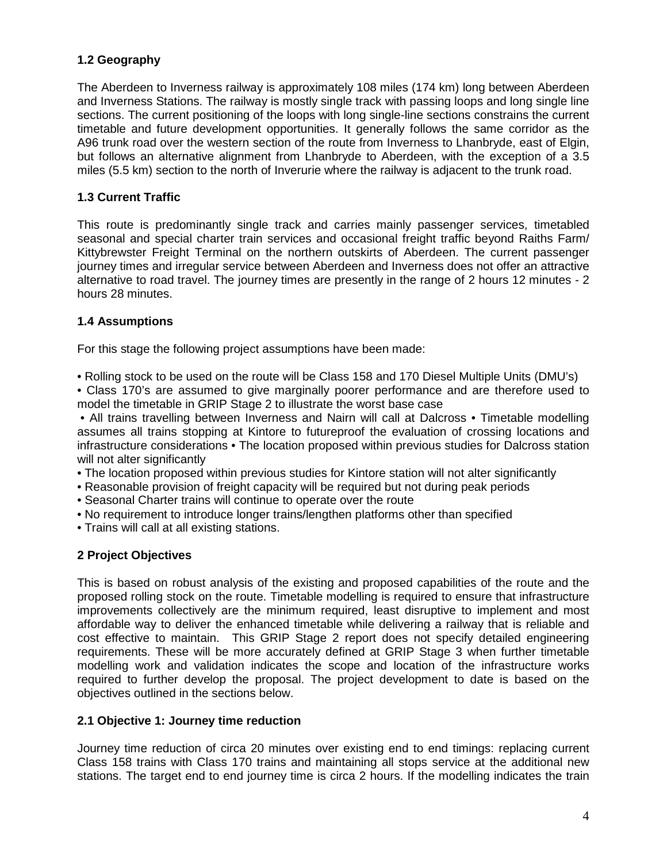# **1.2 Geography**

The Aberdeen to Inverness railway is approximately 108 miles (174 km) long between Aberdeen and Inverness Stations. The railway is mostly single track with passing loops and long single line sections. The current positioning of the loops with long single-line sections constrains the current timetable and future development opportunities. It generally follows the same corridor as the A96 trunk road over the western section of the route from Inverness to Lhanbryde, east of Elgin, but follows an alternative alignment from Lhanbryde to Aberdeen, with the exception of a 3.5 miles (5.5 km) section to the north of Inverurie where the railway is adjacent to the trunk road.

# **1.3 Current Traffic**

This route is predominantly single track and carries mainly passenger services, timetabled seasonal and special charter train services and occasional freight traffic beyond Raiths Farm/ Kittybrewster Freight Terminal on the northern outskirts of Aberdeen. The current passenger journey times and irregular service between Aberdeen and Inverness does not offer an attractive alternative to road travel. The journey times are presently in the range of 2 hours 12 minutes - 2 hours 28 minutes.

# **1.4 Assumptions**

For this stage the following project assumptions have been made:

• Rolling stock to be used on the route will be Class 158 and 170 Diesel Multiple Units (DMU's)

• Class 170's are assumed to give marginally poorer performance and are therefore used to model the timetable in GRIP Stage 2 to illustrate the worst base case

• All trains travelling between Inverness and Nairn will call at Dalcross • Timetable modelling assumes all trains stopping at Kintore to futureproof the evaluation of crossing locations and infrastructure considerations • The location proposed within previous studies for Dalcross station will not alter significantly

- The location proposed within previous studies for Kintore station will not alter significantly
- Reasonable provision of freight capacity will be required but not during peak periods
- Seasonal Charter trains will continue to operate over the route
- No requirement to introduce longer trains/lengthen platforms other than specified
- Trains will call at all existing stations.

### **2 Project Objectives**

This is based on robust analysis of the existing and proposed capabilities of the route and the proposed rolling stock on the route. Timetable modelling is required to ensure that infrastructure improvements collectively are the minimum required, least disruptive to implement and most affordable way to deliver the enhanced timetable while delivering a railway that is reliable and cost effective to maintain. This GRIP Stage 2 report does not specify detailed engineering requirements. These will be more accurately defined at GRIP Stage 3 when further timetable modelling work and validation indicates the scope and location of the infrastructure works required to further develop the proposal. The project development to date is based on the objectives outlined in the sections below.

### **2.1 Objective 1: Journey time reduction**

Journey time reduction of circa 20 minutes over existing end to end timings: replacing current Class 158 trains with Class 170 trains and maintaining all stops service at the additional new stations. The target end to end journey time is circa 2 hours. If the modelling indicates the train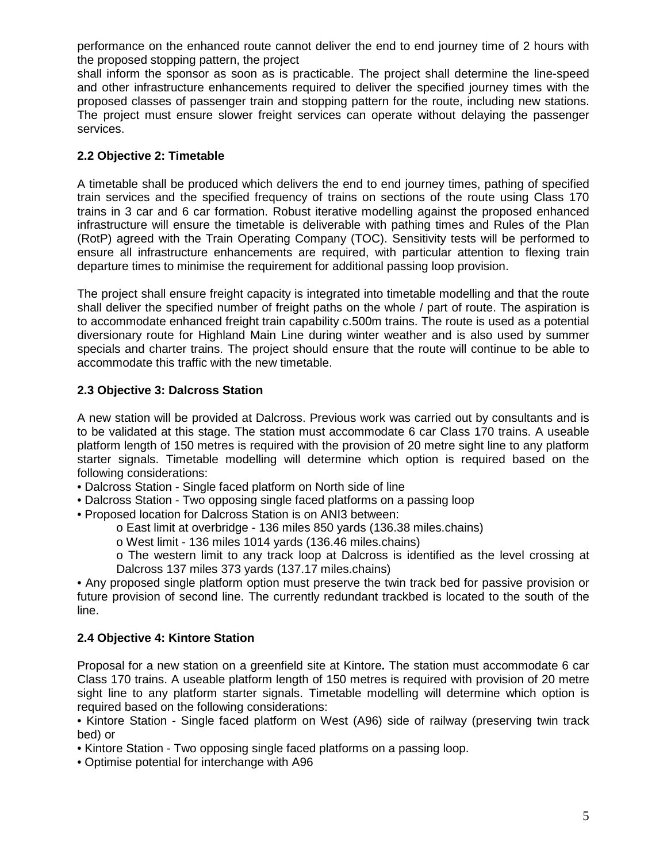performance on the enhanced route cannot deliver the end to end journey time of 2 hours with the proposed stopping pattern, the project

shall inform the sponsor as soon as is practicable. The project shall determine the line-speed and other infrastructure enhancements required to deliver the specified journey times with the proposed classes of passenger train and stopping pattern for the route, including new stations. The project must ensure slower freight services can operate without delaying the passenger services.

# **2.2 Objective 2: Timetable**

A timetable shall be produced which delivers the end to end journey times, pathing of specified train services and the specified frequency of trains on sections of the route using Class 170 trains in 3 car and 6 car formation. Robust iterative modelling against the proposed enhanced infrastructure will ensure the timetable is deliverable with pathing times and Rules of the Plan (RotP) agreed with the Train Operating Company (TOC). Sensitivity tests will be performed to ensure all infrastructure enhancements are required, with particular attention to flexing train departure times to minimise the requirement for additional passing loop provision.

The project shall ensure freight capacity is integrated into timetable modelling and that the route shall deliver the specified number of freight paths on the whole / part of route. The aspiration is to accommodate enhanced freight train capability c.500m trains. The route is used as a potential diversionary route for Highland Main Line during winter weather and is also used by summer specials and charter trains. The project should ensure that the route will continue to be able to accommodate this traffic with the new timetable.

# **2.3 Objective 3: Dalcross Station**

A new station will be provided at Dalcross. Previous work was carried out by consultants and is to be validated at this stage. The station must accommodate 6 car Class 170 trains. A useable platform length of 150 metres is required with the provision of 20 metre sight line to any platform starter signals. Timetable modelling will determine which option is required based on the following considerations:

- Dalcross Station Single faced platform on North side of line
- Dalcross Station Two opposing single faced platforms on a passing loop
- Proposed location for Dalcross Station is on ANI3 between:
	- o East limit at overbridge 136 miles 850 yards (136.38 miles.chains)
	- o West limit 136 miles 1014 yards (136.46 miles.chains)
	- o The western limit to any track loop at Dalcross is identified as the level crossing at Dalcross 137 miles 373 yards (137.17 miles.chains)

• Any proposed single platform option must preserve the twin track bed for passive provision or future provision of second line. The currently redundant trackbed is located to the south of the line.

# **2.4 Objective 4: Kintore Station**

Proposal for a new station on a greenfield site at Kintore**.** The station must accommodate 6 car Class 170 trains. A useable platform length of 150 metres is required with provision of 20 metre sight line to any platform starter signals. Timetable modelling will determine which option is required based on the following considerations:

• Kintore Station - Single faced platform on West (A96) side of railway (preserving twin track bed) or

- Kintore Station Two opposing single faced platforms on a passing loop.
- Optimise potential for interchange with A96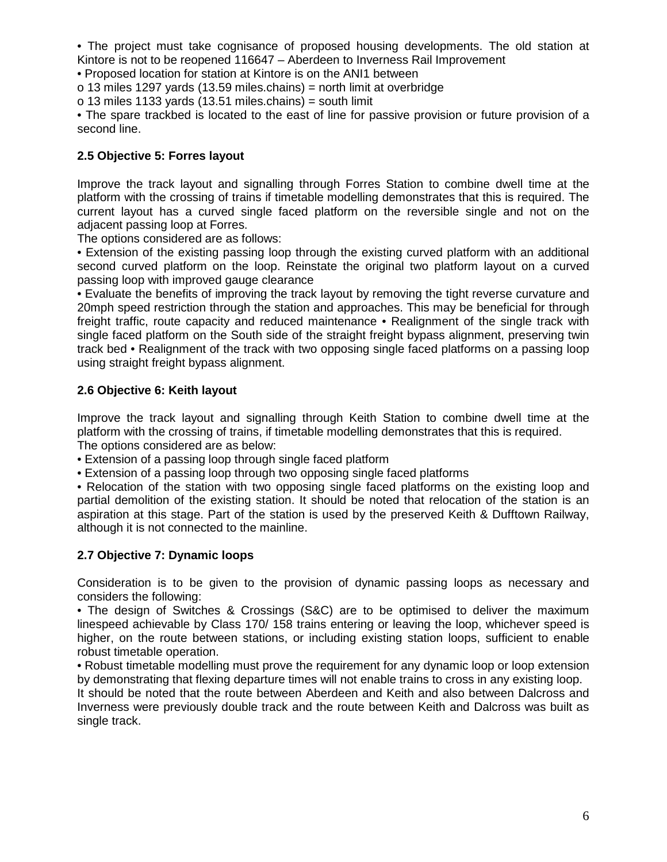• The project must take cognisance of proposed housing developments. The old station at Kintore is not to be reopened 116647 – Aberdeen to Inverness Rail Improvement

• Proposed location for station at Kintore is on the ANI1 between

o 13 miles 1297 yards (13.59 miles.chains) = north limit at overbridge

o 13 miles 1133 yards (13.51 miles.chains) = south limit

• The spare trackbed is located to the east of line for passive provision or future provision of a second line.

## **2.5 Objective 5: Forres layout**

Improve the track layout and signalling through Forres Station to combine dwell time at the platform with the crossing of trains if timetable modelling demonstrates that this is required. The current layout has a curved single faced platform on the reversible single and not on the adjacent passing loop at Forres.

The options considered are as follows:

• Extension of the existing passing loop through the existing curved platform with an additional second curved platform on the loop. Reinstate the original two platform layout on a curved passing loop with improved gauge clearance

• Evaluate the benefits of improving the track layout by removing the tight reverse curvature and 20mph speed restriction through the station and approaches. This may be beneficial for through freight traffic, route capacity and reduced maintenance • Realignment of the single track with single faced platform on the South side of the straight freight bypass alignment, preserving twin track bed • Realignment of the track with two opposing single faced platforms on a passing loop using straight freight bypass alignment.

### **2.6 Objective 6: Keith layout**

Improve the track layout and signalling through Keith Station to combine dwell time at the platform with the crossing of trains, if timetable modelling demonstrates that this is required. The options considered are as below:

• Extension of a passing loop through single faced platform

• Extension of a passing loop through two opposing single faced platforms

• Relocation of the station with two opposing single faced platforms on the existing loop and partial demolition of the existing station. It should be noted that relocation of the station is an aspiration at this stage. Part of the station is used by the preserved Keith & Dufftown Railway, although it is not connected to the mainline.

### **2.7 Objective 7: Dynamic loops**

Consideration is to be given to the provision of dynamic passing loops as necessary and considers the following:

• The design of Switches & Crossings (S&C) are to be optimised to deliver the maximum linespeed achievable by Class 170/ 158 trains entering or leaving the loop, whichever speed is higher, on the route between stations, or including existing station loops, sufficient to enable robust timetable operation.

• Robust timetable modelling must prove the requirement for any dynamic loop or loop extension by demonstrating that flexing departure times will not enable trains to cross in any existing loop.

It should be noted that the route between Aberdeen and Keith and also between Dalcross and Inverness were previously double track and the route between Keith and Dalcross was built as single track.